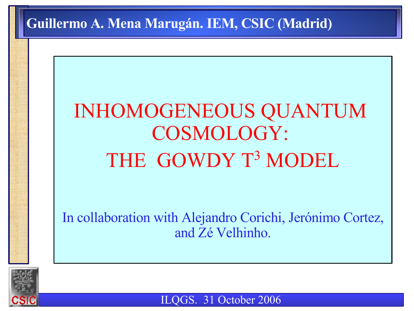#### **Guillermo A. Mena Marugán. IEM, CSIC (Madrid)**

# INHOMOGENEOUS QUANTUM COSMOLOGY: THE GOWDY T<sup>3</sup> MODEL

In collaboration with Alejandro Corichi, Jerónimo Cortez, and Zé Velhinho.



ILQGS. 31 October 2006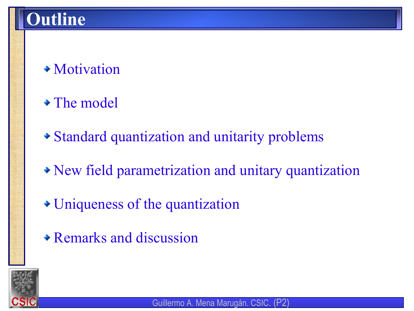- Motivation
- The model
- Standard quantization and unitarity problems
- New field parametrization and unitary quantization
- Uniqueness of the quantization
- Remarks and discussion

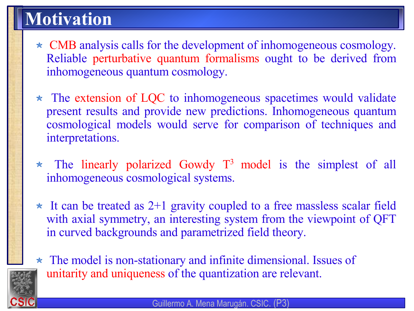### **Motivation**

- \* CMB analysis calls for the development of inhomogeneous cosmology. Reliable perturbative quantum formalisms ought to be derived from inhomogeneous quantum cosmology.
- $\star$  The extension of LQC to inhomogeneous spacetimes would validate present results and provide new predictions. Inhomogeneous quantum cosmological models would serve for comparison of techniques and interpretations.
- The linearly polarized Gowdy  $T^3$  model is the simplest of all inhomogeneous cosmological systems.
- $\star$  It can be treated as 2+1 gravity coupled to a free massless scalar field with axial symmetry, an interesting system from the viewpoint of QFT in curved backgrounds and parametrized field theory.
- \* The model is non-stationary and infinite dimensional. Issues of unitarity and uniqueness of the quantization are relevant.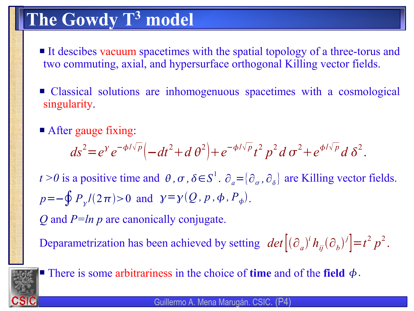## **The Gowdy T <sup>3</sup> model**

- It descibes vacuum spacetimes with the spatial topology of a three-torus and two commuting, axial, and hypersurface orthogonal Killing vector fields.
- Classical solutions are inhomogenuous spacetimes with a cosmological singularity.
- After gauge fixing:

$$
ds^{2} = e^{\gamma} e^{-\phi/\sqrt{p}} \left( -dt^{2} + d\theta^{2} \right) + e^{-\phi/\sqrt{p}} t^{2} p^{2} d\sigma^{2} + e^{\phi/\sqrt{p}} d\delta^{2}.
$$

*t* > *0* is a positive time and  $\theta$ ,  $\sigma$ ,  $\delta \in S^1$ .  $\partial_a = {\partial_\sigma, \partial_\delta}$  are Killing vector fields.  $p = -\oint P_y/(2\pi) > 0$  and  $\gamma = \gamma(Q, p, \phi, P_{\phi})$ .

*Q* and *P=ln p* are canonically conjugate.

Deparametrization has been achieved by setting  $\det [(\partial_a)^i h_{ij}(\partial_b)^j] = t^2 p^2$ .



There is some arbitrariness in the choice of **time** and of the **field**  $\phi$ .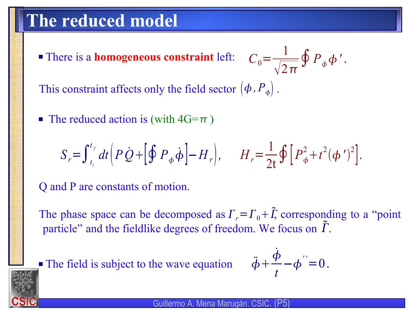#### **The reduced model**

 There is a **homogeneous constraint** left:  $C_0=$ 1  $\sqrt{2}\pi$  $\oint P_{\phi} \phi'$ .

This constraint affects only the field sector  $(\phi, P_{\phi})$ .

The reduced action is (with  $4G=\pi$ )

$$
S_r = \int_{t_i}^{t_f} dt \Big( P \dot{Q} + \Big[ \oint P_{\phi} \dot{\phi} \Big] - H_r \Big), \qquad H_r = \frac{1}{2t} \oint \Big[ P_{\phi}^2 + t^2 (\phi')^2 \Big].
$$

Q and P are constants of motion.

The phase space can be decomposed as  $\Gamma_r = \Gamma_0 + \tilde{\Gamma}$ , corresponding to a "point" particle" and the fieldlike degrees of freedom. We focus on  $\tilde{T}$ .



 $\overline{a}$ 

$$
\ddot{\phi} + \frac{\dot{\phi}}{t} - \phi^{\prime\prime} = 0.
$$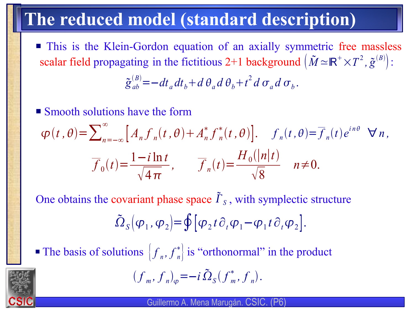### **The reduced model (standard description)**

**This is the Klein-Gordon equation of an axially symmetric free massless** scalar field propagating in the fictitious 2+1 background  $(\tilde{M} \approx \mathbb{R}^+ \times T^2, \tilde{g}^{(B)}):$ 

$$
\tilde{g}_{ab}^{(B)} = -dt_a dt_b + d\theta_a d\theta_b + t^2 d\sigma_a d\sigma_b.
$$

**Smooth solutions have the form** 

$$
\varphi(t,\theta) = \sum_{n=-\infty}^{\infty} \left[ A_n f_n(t,\theta) + A_n^* f_n^*(t,\theta) \right], \quad f_n(t,\theta) = \overline{f}_n(t) e^{in\theta} \quad \forall n,
$$

$$
\overline{f}_0(t) = \frac{1-i \ln t}{\sqrt{4\pi}}, \qquad \overline{f}_n(t) = \frac{H_0(|n|t)}{\sqrt{8}} \quad n \neq 0.
$$

One obtains the covariant phase space  $\tilde{\Gamma}_s$ , with symplectic structure

$$
\tilde{\Omega}_S(\varphi_1,\varphi_2) = \oint [\varphi_2 t \partial_t \varphi_1 - \varphi_1 t \partial_t \varphi_2].
$$

The basis of solutions  $\left| f_n, f_n^* \right|$  is "orthonormal" in the product  $\Big\}$ 

$$
(f_m, f_n)_{\varphi} = -i \, \tilde{\Omega}_S (f_m^*, f_n).
$$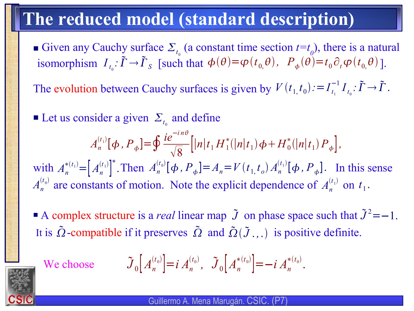### **The reduced model (standard description)**

Given any Cauchy surface  $\Sigma_{t_0}$  (a constant time section  $t=t_0$ ), there is a natural isomorphism  $I_{t_0}: \tilde{\Gamma} \to \tilde{\Gamma}_S$  [such that  $\phi(\theta) = \varphi(t_0, \theta)$ ,  $P_{\phi}(\theta) = t_0 \partial_t \varphi(t_0, \theta)$ ].

The evolution between Cauchy surfaces is given by  $V(t_1, t_0) := I_{t_1}$  $^{-1}_{t_1}I_{t_0}:\tilde{\Gamma}\to\tilde{\Gamma}$  .

- External Let us consider a given  $\Sigma_{t_0}$  and define with  $A_n^{*(t_1)} = [A_n^{(t_1)}]^*$ . Then  $A_n^{(t_0)}[\phi, P_{\phi}] = A_n = V(t_1, t_0) A_n^{(t_1)}[\phi, P_{\phi}]$ . In this sense  $A_n^{(t_1)}[\phi, P_{\phi}] = \oint$  $ie^{-in\theta}$  $\sqrt{8}$  $\left[ |n|t_1 H_1^* (|n|t_1) \phi + H_0^* (|n|t_1) P_{\phi} \right],$ ∗ .
- $A_n^{(t_0)}$  are constants of motion. Note the explicit dependence of  $A_n^{(t_1)}$  on  $t_1$ .
- A complex structure is a *real* linear map  $\tilde{J}$  on phase space such that  $\tilde{J}^2 = -1$ . It is  $\tilde{\Omega}$ -compatible if it preserves  $\tilde{\Omega}$  and  $\tilde{\Omega}(\tilde{J},.)$  is positive definite.

We choose

$$
\tilde{J}_0\Big[A_n^{(t_0)}\Big]=i\,A_n^{(t_0)},\quad \tilde{J}_0\Big[A_n^{*(t_0)}\Big]=-i\,A_n^{*(t_0)}.
$$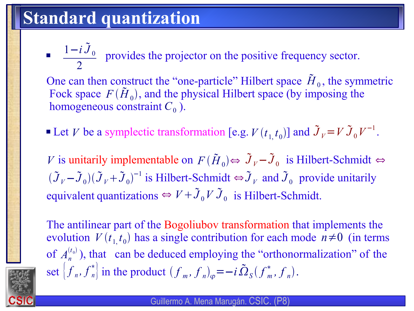### **Standard quantization**

 $\blacksquare$   $\blacksquare$   $\blacksquare$   $\blacksquare$   $\blacksquare$  provides the projector on the positive frequency sector.  $1-i\tilde{J}_0$ 2

One can then construct the "one-particle" Hilbert space  $\tilde{H}_0$ , the symmetric Fock space  $F(\tilde{H}_0)$ , and the physical Hilbert space (by imposing the homogeneous constraint  $C_0$  ).

**•** Let *V* be a symplectic transformation [e.g.  $V(t_{1, t_0})$ ] and  $\tilde{J}_V = V \tilde{J}_0 V^{-1}$ .

*V* is unitarily implementable on  $F(\tilde{H}_0) \Leftrightarrow \tilde{J}_V - \tilde{J}_0$  is Hilbert-Schmidt  $\Leftrightarrow$  $(\tilde{J}_V - \tilde{J}_0)(\tilde{J}_V + \tilde{J}_0)^{-1}$  is Hilbert-Schmidt  $\Leftrightarrow \tilde{J}_V$  and  $\tilde{J}_0$  provide unitarily equivalent quantizations  $\Leftrightarrow V + \tilde{J}_0 V \tilde{J}_0$  is Hilbert-Schmidt.

The antilinear part of the Bogoliubov transformation that implements the evolution  $V(t_1, t_0)$  has a single contribution for each mode  $n \neq 0$  (in terms of  $A_n^{(t_0)}$ ), that can be deduced employing the "orthonormalization" of the set  $\left\{ f_n, f_n^* \right\}$  in the product  $\left( f_m, f_n \right)_{\varphi} = -i$ .  $\int$  in the product  $(f_m, f_n)_{\varphi} = -i \tilde{\Omega}_S(f_m^*, f_n)$ .

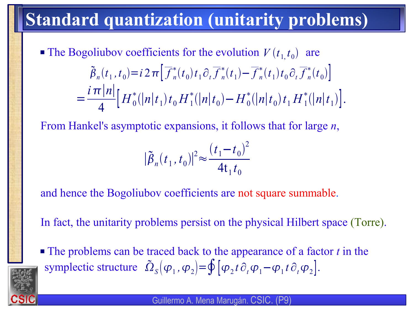### **Standard quantization (unitarity problems)**

The Bogoliubov coefficients for the evolution  $V(t_1, t_0)$  are  $\tilde{\beta}_n(t_1, t_0) = i 2 \pi \left[ \overline{f}_n^*(t_0) t_1 \partial_t \overline{f}_n^*(t_1) - \overline{f}_n^*(t_1) t_0 \partial_t \overline{f}_n^*(t_0) \right]$ =  $i$  π $|n|$ 4  $\left[ H_0^*(|n|t_1)t_0H_1^*(|n|t_0)-H_0^*(|n|t_0)t_1H_1^*(|n|t_1)\right].$ 

From Hankel's asymptotic expansions, it follows that for large *n*,

$$
|\tilde{B}_n(t_1, t_0)|^2 \approx \frac{(t_1 - t_0)^2}{4t_1 t_0}
$$

and hence the Bogoliubov coefficients are not square summable.

In fact, the unitarity problems persist on the physical Hilbert space (Torre).

 The problems can be traced back to the appearance of a factor *t* in the symplectic structure  $\tilde{\Omega}_s(\varphi_1, \varphi_2) = \oint [\varphi_2 t \partial_t \varphi_1 - \varphi_1 t \partial_t \varphi_2].$ 

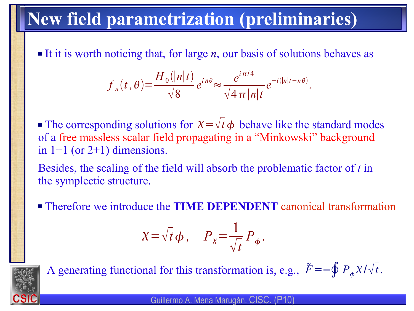### **New field parametrization (preliminaries)**

It it is worth noticing that, for large  $n$ , our basis of solutions behaves as

$$
f_n(t,\theta) = \frac{H_0(|n|t)}{\sqrt{8}} e^{in\theta} \approx \frac{e^{i\pi/4}}{\sqrt{4\pi |n|t}} e^{-i(|n|t-n\theta)}.
$$

The corresponding solutions for  $X = \sqrt{t} \phi$  behave like the standard modes of a free massless scalar field propagating in a "Minkowski" background in  $1+1$  (or  $2+1$ ) dimensions.

Besides, the scaling of the field will absorb the problematic factor of *t* in the symplectic structure.

Therefore we introduce the **TIME DEPENDENT** canonical transformation

$$
\chi = \sqrt{t} \, \phi \,, \quad P_{\chi} = \frac{1}{\sqrt{t}} P_{\phi} \,.
$$



A generating functional for this transformation is, e.g.,  $\tilde{F} = -\oint P_{\phi} \chi / \sqrt{t}$ .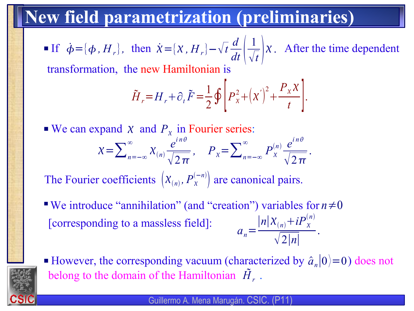#### **New field parametrization (preliminaries)**

**If**  $\dot{\phi} = [\phi, H_r]$ , then  $\dot{\chi} = [\chi, H_r] - \sqrt{t \frac{u}{dt} \left| \frac{1}{L} \right|} \chi$ . After the time dependent *d*  $dt\mid_{\mathcal{N}}$ 1  $\sqrt{t}$ <sup> $\prime$ </sup>  $\chi$  .

transformation, the new Hamiltonian is

$$
\tilde{H}_r = H_r + \partial_t \tilde{F} = \frac{1}{2} \oint \left[ P_x^2 + \left( x' \right)^2 + \frac{P_x X}{t} \right].
$$

.

 $\blacktriangleright$  We can expand  $\chi$  and  $P_{\chi}$  in Fourier series:  $\chi=\sum_{n=-\infty}^{\infty}$  $\chi_{(n)}$  $e^{in\theta}$  $\sqrt{2\pi}$  $P_{\chi} = \sum_{n=-\infty}^{\infty}$  $P_{\chi}^{(\prime)}$  $(n)$   $e^{in\theta}$  $\sqrt{2\pi}$ 

The Fourier coefficients  $(X_{(n)}, P_X^{(-n)})$  are canonical pairs.  $\Bigg)$ 

- We introduce "annihilation" (and "creation") variables for *n*≠0 [corresponding to a massless field]:  $a_n =$  $|n|X_{(n)} + iP_X^{(n)}$ 2∣*n*∣ .
- **•** However, the corresponding vacuum (characterized by  $\hat{a}_n |0\rangle = 0$ ) does not belong to the domain of the Hamiltonian  $|\tilde{H}_r|$ .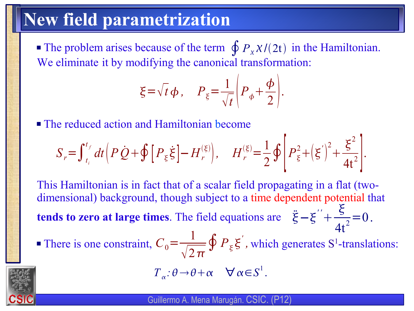### **New field parametrization**

**The problem arises because of the term**  $\oint P_x \chi/(2t)$  **in the Hamiltonian.** We eliminate it by modifying the canonical transformation:

$$
\xi = \sqrt{t} \, \phi \,, \quad P_{\xi} = \frac{1}{\sqrt{t}} \left( P_{\phi} + \frac{\phi}{2} \right).
$$

■ The reduced action and Hamiltonian become

$$
S_r = \int_{t_i}^{t_f} dt \left( P \dot{Q} + \oint \left[ P_{\xi} \dot{\xi} \right] - H_r^{(\xi)} \right), \quad H_r^{(\xi)} = \frac{1}{2} \oint \left[ P_{\xi}^2 + \left( \xi' \right)^2 + \frac{\xi^2}{4t^2} \right].
$$

This Hamiltonian is in fact that of a scalar field propagating in a flat (twodimensional) background, though subject to a time dependent potential that **tends to zero at large times**. The field equations are  $\ddot{\xi} - \xi'' +$  $\boldsymbol{\xi}$  $4t^2$  $=0$ .

There is one constraint,  $C_0 = \frac{1}{\sqrt{2}} \oint P_{\xi} \xi$ , which generates S<sup>1</sup>-translations: 1  $\sqrt{2\pi}$  $\oint P_{\xi} \xi^{\prime}$ ,

$$
T_{\alpha}: \theta \to \theta + \alpha \quad \forall \alpha \in S^{1}.
$$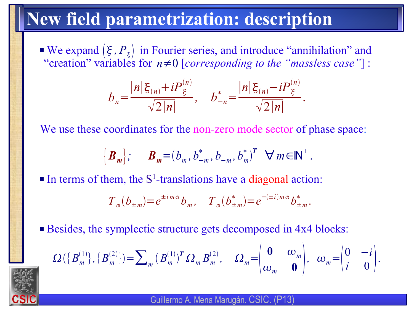### **New field parametrization: description**

 $\blacktriangleright$  We expand  $(\xi, P_{\xi})$  in Fourier series, and introduce "annihilation" and "creation" variables for  $n \neq 0$  [corresponding to the "massless case"] :

$$
b_n = \frac{|n|\xi_{(n)} + iP_{\xi}^{(n)}}{\sqrt{2|n|}}, \quad b_{-n}^* = \frac{|n|\xi_{(n)} - iP_{\xi}^{(n)}}{\sqrt{2|n|}}.
$$

We use these coordinates for the non-zero mode sector of phase space:

$$
\left\{\boldsymbol{B}_{m}\right\};\qquad\boldsymbol{B}_{m}=(b_{m},b_{-m}^{*},b_{-m},b_{m}^{*})^{T}\quad\forall\,m\in\mathbb{N}^{+}.
$$

In terms of them, the  $S<sup>1</sup>$ -translations have a diagonal action:

$$
T_{\alpha}(b_{\pm m}) = e^{\pm im\alpha}b_m
$$
,  $T_{\alpha}(b_{\pm m}^*) = e^{-(\pm i)m\alpha}b_{\pm m}^*$ .

■ Besides, the symplectic structure gets decomposed in 4x4 blocks:

$$
\Omega\left(\left\{B_m^{(1)}\right\},\left\{B_{\overline{m}}^{(2)}\right\}\right) = \sum_m \left(B_m^{(1)}\right)^T \Omega_m B_m^{(2)}, \quad \Omega_m = \begin{pmatrix} \mathbf{0} & \omega_m \\ \omega_m & \mathbf{0} \end{pmatrix}, \quad \omega_m = \begin{pmatrix} 0 & -i \\ i & 0 \end{pmatrix}.
$$

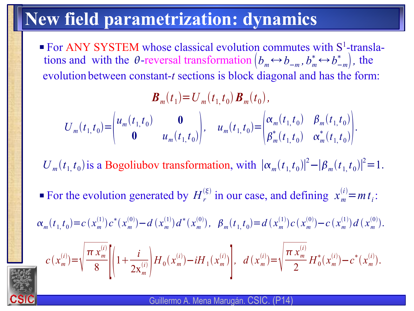### **New field parametrization: dynamics**

For ANY SYSTEM whose classical evolution commutes with  $S^1$ -translations and with the  $\theta$ -reversal transformation  $(b_m \leftrightarrow b_{-m}, b_m^* \leftrightarrow b_{-m}^*)$ , the evolution between constant-*t* sections is block diagonal and has the form:

$$
\boldsymbol{B}_{m}(t_{1}) = U_{m}(t_{1},t_{0}) \boldsymbol{B}_{m}(t_{0}),
$$
\n
$$
U_{m}(t_{1},t_{0}) = \begin{pmatrix} u_{m}(t_{1},t_{0}) & \mathbf{0} \\ \mathbf{0} & u_{m}(t_{1},t_{0}) \end{pmatrix}, \quad u_{m}(t_{1},t_{0}) = \begin{pmatrix} \alpha_{m}(t_{1},t_{0}) & \beta_{m}(t_{1},t_{0}) \\ \beta_{m}^{*}(t_{1},t_{0}) & \alpha_{m}^{*}(t_{1},t_{0}) \end{pmatrix}.
$$

 $U_m(t_1, t_0)$  is a Bogoliubov transformation, with  $|\alpha_m(t_1, t_0)|^2 - |\beta_m(t_1, t_0)|^2 = 1$ .

For the evolution generated by  $H_r^{(\xi)}$  in our case, and defining  $x_m^{(i)} = m t_i$ :

 $\alpha_m(t_{1,1}t_0) = c(x_m^{(1)})c^*(x_m^{(0)}) - d(x_m^{(1)})d^*(x_m^{(0)}), \quad \beta_m(t_{1,1}t_0) = d(x_m^{(1)})c(x_m^{(0)}) - c(x_m^{(1)})d(x_m^{(0)}).$ 

$$
c(x_m^{(i)}) = \sqrt{\frac{\pi x_m^{(i)}}{8}} \left[ \left( 1 + \frac{i}{2x_m^{(i)}} \right) H_0(x_m^{(i)}) - i H_1(x_m^{(i)}) \right], \ d(x_m^{(i)}) = \sqrt{\frac{\pi x_m^{(i)}}{2}} H_0^*(x_m^{(i)}) - c^*(x_m^{(i)}).
$$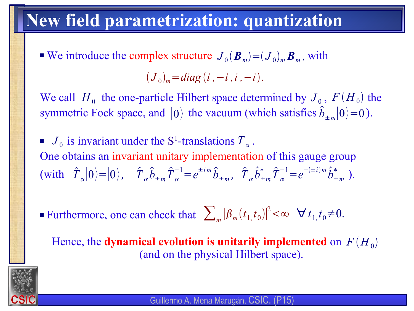### **New field parametrization: quantization**

 $\bullet$  We introduce the complex structure  $J_0(B_m) = (J_0)_m B_m$ , with

$$
(J_0)_m = diag(i, -i, i, -i).
$$

We call  $H_0$  the one-particle Hilbert space determined by  $J_0$ ,  $F(H_0)$  the symmetric Fock space, and  $|0\rangle$  the vacuum (which satisfies  $\hat{b}_{\pm m}|0\rangle=0$ ).

- $J_0$  is invariant under the S<sup>1</sup>-translations  $T_\alpha$ . One obtains an invariant unitary implementation of this gauge group  $\langle \text{with} \quad \hat{T}_{\alpha} | 0 \rangle = | 0 \rangle$ ,  $\hat{T}_{\alpha} \hat{b}_{\pm m} \hat{T}_{\alpha}^{-1} = e^{\pm im} \hat{b}_{\pm m}$ ,  $\hat{T}_{\alpha} \hat{b}_{\pm m}^{*} \hat{T}_{\alpha}^{-1} = e^{-(\pm i)m} \hat{b}_{\pm m}^{*}$ .  $\hat{T}_{\alpha}^{-1} = e^{\pm im} \hat{b}_{\pm m}$ ,  $\hat{T}_{\alpha} \hat{b}_{\pm m}^{*} \hat{T}_{\alpha}^{-}$  $\hat{b}_{\pm m}^{-1} = e^{-(\pm i)m} \hat{b}_{\pm m}^*$
- **■** Furthermore, one can check that  $\sum_{m} |\beta_m(t_1, t_0)|^2 < \infty$   $\forall t_1, t_0 \neq 0$ .

Hence, the **dynamical evolution is unitarily implemented** on  $F(H_0)$ (and on the physical Hilbert space).



Guillermo A. Mena Marugán. CSIC. (P15)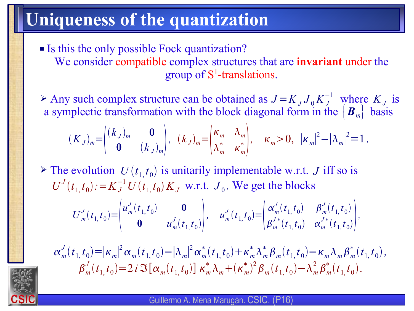### **Uniqueness of the quantization**

- Is this the only possible Fock quantization? We consider compatible complex structures that are **invariant** under the group of S 1 -translations.
- *►* Any such complex structure can be obtained as  $J = K_J J_0 K_J^{-1}$  where  $K_J$  is a symplectic transformation with the block diagonal form in the  $|B_{m}|$  basis

$$
(K_J)_m = \begin{pmatrix} (k_J)_m & \mathbf{0} \\ \mathbf{0} & (k_J)_m \end{pmatrix}, \quad (k_J)_m = \begin{pmatrix} \kappa_m & \lambda_m \\ \lambda_m^* & \kappa_m^* \end{pmatrix}, \quad \kappa_m > 0, \quad |\kappa_m|^2 - |\lambda_m|^2 = 1 \,.
$$

 $\triangleright$  The evolution  $U(t_1, t_0)$  is unitarily implementable w.r.t. *J* iff so is  $U^{J}(t_1, t_0) := K_J^{-1} U(t_1, t_0) K_J$  w.r.t.  $J_0$ . We get the blocks

$$
U_m^J(t_{1,}t_0) = \begin{pmatrix} u_m^J(t_{1,}t_0) & \mathbf{0} \\ \mathbf{0} & u_m^J(t_{1,}t_0) \end{pmatrix}, \quad u_m^J(t_{1,}t_0) = \begin{pmatrix} \alpha_m^J(t_{1,}t_0) & \beta_m^J(t_{1,}t_0) \\ \beta_m^J(t_{1,}t_0) & \alpha_m^J(t_{1,}t_0) \end{pmatrix},
$$

 $\alpha_m^J(t_{1,}t_0) = |\kappa_m|^2 \alpha_m(t_{1,}t_0) - |\lambda_m|^2 \alpha_m^*(t_{1,}t_0) + \kappa_m^* \lambda_m^* \beta_m(t_{1,}t_0) - \kappa_m \lambda_m \beta_m^*(t_{1,}t_0),$  $\beta_m^J(t_{1,}t_0) = 2 i \Im[\alpha_m(t_{1,}t_0)] \kappa_m^* \lambda_m + (\kappa_m^*)^2 \beta_m(t_{1,}t_0) - \lambda_m^2 \beta_m^* (t_{1,}t_0).$ 

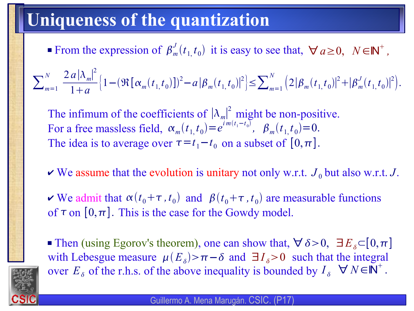### **Uniqueness of the quantization**

From the expression of  $\beta_m^J(t_1, t_0)$  it is easy to see that,  $\forall a \ge 0$ ,  $N \in \mathbb{N}^+$ ,

 $\sum_{m=1}^{N}$ *N* 2 *a* $|\lambda_m|^2$ 1*a*  $\left\{1 - (\Re\left[\alpha_m(t_{1,}t_0)\right])^2 - a\left|\beta_m(t_{1,}t_0)\right|^2\right\} \le \sum_{m=1}^N$  $(2|\beta_m(t_1,t_0)|^2 + |\beta_m^J(t_1,t_0)|^2).$ 

The infimum of the coefficients of  $|\lambda_m|^2$  might be non-positive. For a free massless field,  $\alpha_m(t_1, t_0) = e^{im(t_1 - t_0)}$ ,  $\beta_m(t_1, t_0) = 0$ . The idea is to average over  $\tau = t_1 - t_0$  on a subset of  $[0, \pi]$ .

- $\vee$  We assume that the evolution is unitary not only w.r.t.  $J_0$  but also w.r.t. J.
- $\triangledown$  We admit that  $\alpha(t_0+\tau,t_0)$  and  $\beta(t_0+\tau,t_0)$  are measurable functions of  $\tau$  on  $[0,\pi]$ . This is the case for the Gowdy model.

■ Then (using Egorov's theorem), one can show that,  $\forall \delta > 0$ ,  $\exists E_{\delta} \subset [0, \pi]$ with Lebesgue measure  $\mu(E_{\delta}) > \pi - \delta$  and  $\exists I_{\delta} > 0$  such that the integral over  $E_{\delta}$  of the r.h.s. of the above inequality is bounded by  $I_{\delta}$   $\forall N \in \mathbb{N}^{+}$ .

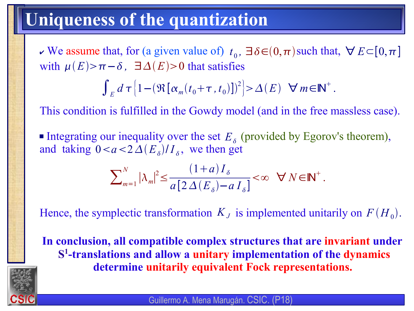### **Uniqueness of the quantization**

 $\star$  We assume that, for (a given value of)  $t_0$ ,  $\exists \delta \in (0, \pi)$  such that,  $\forall E \subset [0, \pi]$ with  $\mu(E) > \pi - \delta$ ,  $\exists \Delta(E) > 0$  that satisfies

$$
\int_E d\,\tau \left\{1-\left(\Re\left[\alpha_m(t_0+\tau,t_0)\right]\right)^2\right\} > \Delta(E) \quad \forall m \in \mathbb{N}^+.
$$

This condition is fulfilled in the Gowdy model (and in the free massless case).

Integrating our inequality over the set  $E_{\delta}$  (provided by Egorov's theorem), and taking  $0 < a < 2 \Delta(E_{\delta})/I_{\delta}$ , we then get

$$
\sum\nolimits_{m=1}^N |\lambda_m|^2 \le \frac{(1+a) \, I_\delta}{a \left[ 2 \, \Delta \left( E_\delta \right) - a \, I_\delta \right]} < \infty \quad \forall \, N \in \mathbb{N}^+ \, .
$$

Hence, the symplectic transformation  $K_J$  is implemented unitarily on  $F(H_0)$ .

**In conclusion, all compatible complex structures that are invariant under S 1 -translations and allow a unitary implementation of the dynamics determine unitarily equivalent Fock representations.**

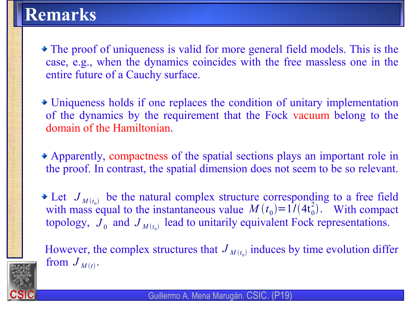### **Remarks**

- The proof of uniqueness is valid for more general field models. This is the case, e.g., when the dynamics coincides with the free massless one in the entire future of a Cauchy surface.
- Uniqueness holds if one replaces the condition of unitary implementation of the dynamics by the requirement that the Fock vacuum belong to the domain of the Hamiltonian.
- Apparently, compactness of the spatial sections plays an important role in the proof. In contrast, the spatial dimension does not seem to be so relevant.
- Let  $J_{M(t_1)}$  be the natural complex structure corresponding to a free field with mass equal to the instantaneous value  $M(t_0) = 1/(4t_0^2)$ . With compact topology,  $J_0$  and  $J_{M(t_0)}$  lead to unitarily equivalent Fock representations.  $\overline{J}_{M(t_0)}$  $M(t_0) = 1/(4t_0^2)$ .

However, the complex structures that  $J_{M(t_0)}$  induces by time evolution differ from  $J_{M(t)}$ .



Guillermo A. Mena Marugán. CSIC. (P19)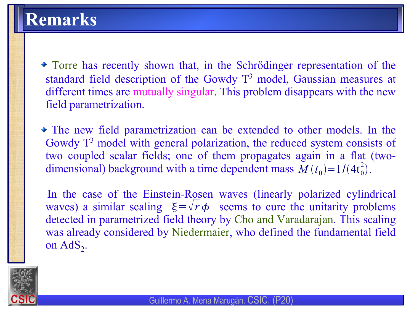Torre has recently shown that, in the Schrödinger representation of the standard field description of the Gowdy T<sup>3</sup> model, Gaussian measures at different times are mutually singular. This problem disappears with the new field parametrization.

The new field parametrization can be extended to other models. In the Gowdy T<sup>3</sup> model with general polarization, the reduced system consists of two coupled scalar fields; one of them propagates again in a flat (twodimensional) background with a time dependent mass  $M(t_0) = 1/(4t_0^2)$ .

In the case of the Einstein-Rosen waves (linearly polarized cylindrical waves) a similar scaling  $\xi = \sqrt{r} \phi$  seems to cure the unitarity problems detected in parametrized field theory by Cho and Varadarajan. This scaling was already considered by Niedermaier, who defined the fundamental field on  $AdS_2$ .